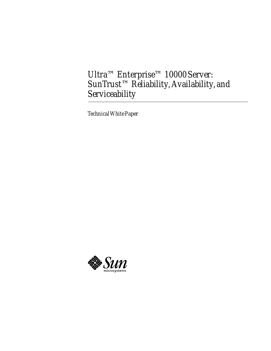*Ultra™ Enterprise™ 10000 Server: SunTrust™ Reliability, Availability, and Serviceability*

*Technical White Paper*

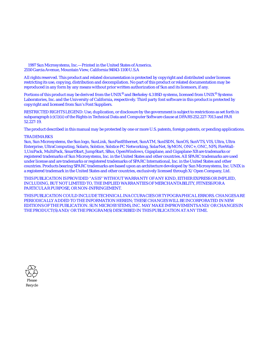1997 Sun Microsystems, Inc.—Printed in the United States of America. 2550 Garcia Avenue, Mountain View, California 94043-1100 U.S.A

All rights reserved. This product and related documentation is protected by copyright and distributed under licenses restricting its use, copying, distribution and decompilation. No part of this product or related documentation may be reproduced in any form by any means without prior written authorization of Sun and its licensors, if any.

Portions of this product may be derived from the UNIX<sup>®</sup> and Berkeley 4.3 BSD systems, licensed from UNIX<sup>®</sup> Systems Laboratories, Inc. and the University of California, respectively. Third party font software in this product is protected by copyright and licensed from Sun's Font Suppliers.

RESTRICTED RIGHTS LEGEND: Use, duplication, or disclosure by the government is subject to restrictions as set forth in subparagraph (c)(1)(ii) of the Rights in Technical Data and Computer Software clause at DFARS 252.227-7013 and FAR 52.227-19.

The product described in this manual may be protected by one or more U.S. patents, foreign patents, or pending applications.

#### TRADEMARKS

Sun, Sun Microsystems, the Sun logo, SunLink, SunFastEthernet, SunATM, SunISDN, SunOS, SunVTS, VIS, Ultra, Ultra Enterprise, UltraComputing, Solaris, Solstice, Solstice PC Networking, SolarNet, SyMON, ONC+, ONC, NFS, FireWall-1,UniPack, MultiPack, SmartStart, JumpStart, SBus, OpenWindows, Gigaplane, and Gigaplane-XB are trademarks or registered trademarks of Sun Microsystems, Inc. in the United States and other countries. All SPARC trademarks are used under license and are trademarks or registered trademarks of SPARC International, Inc. in the United States and other countries. Products bearing SPARC trademarks are based upon an architecture developed by Sun Microsystems, Inc. UNIX is a registered trademark in the United States and other countries, exclusively licensed through X/Open Company, Ltd.

THIS PUBLICATION IS PROVIDED "AS IS" WITHOUT WARRANTY OF ANY KIND, EITHER EXPRESS OR IMPLIED, INCLUDING, BUT NOT LIMITED TO, THE IMPLIED WARRANTIES OF MERCHANTABILITY, FITNESS FOR A PARTICULAR PURPOSE, OR NON-INFRINGEMENT.

THIS PUBLICATION COULD INCLUDE TECHNICAL INACCURACIES OR TYPOGRAPHICAL ERRORS. CHANGES ARE PERIODICALLY ADDED TO THE INFORMATION HEREIN; THESE CHANGES WILL BE INCORPORATED IN NEW EDITIONS OF THE PUBLICATION. SUN MICROSYSTEMS, INC. MAY MAKE IMPROVEMENTS AND/OR CHANGES IN THE PRODUCT(S) AND/OR THE PROGRAM(S) DESCRIBED IN THIS PUBLICATION AT ANY TIME.

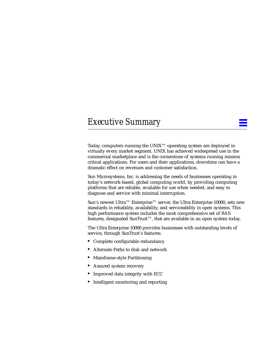### *Executive Summary*

Today, computers running the UNIX™ operating system are deployed in virtually every market segment. UNIX has achieved widespread use in the commercial marketplace and is the cornerstone of systems running mission critical applications. For users and their applications, downtime can have a dramatic effect on revenues and customer satisfaction.

Sun Microsystems, Inc. is addressing the needs of businesses operating in today's network-based, global computing world, by providing computing platforms that are reliable, available for use when needed, and easy to diagnose and service with minimal interruption.

Sun's newest Ultra™ Enterprise™ server, the Ultra Enterprise 10000, sets new standards in reliability, availability, and serviceability in open systems. This high performance system includes the most comprehensive set of RAS features, designated SunTrust™, that are available in an open system today.

The Ultra Enterprise 10000 provides businesses with outstanding levels of service, through SunTrust's features:

- **•** Complete configurable redundancy
- **•** Alternate Paths to disk and network
- **•** Mainframe-style Partitioning
- **•** Assured system recovery
- **•** Improved data integrity with ECC
- **•** Intelligent monitoring and reporting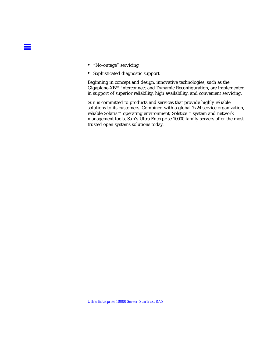- **•** "No-outage" servicing
- **•** Sophisticated diagnostic support

Beginning in concept and design, innovative technologies, such as the Gigaplane-XB™ interconnect and Dynamic Reconfiguration, are implemented in support of superior reliability, high availability, and convenient servicing.

Sun is committed to products and services that provide highly reliable solutions to its customers. Combined with a global 7x24 service organization, reliable Solaris™ operating environment, Solstice™ system and network management tools, Sun's Ultra Enterprise 10000 family servers offer the most trusted open systems solutions today.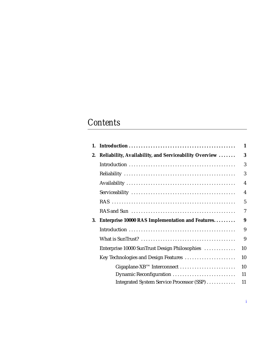# *Contents*

| 1. |                                                        | $\mathbf{1}$   |
|----|--------------------------------------------------------|----------------|
| 2. | Reliability, Availability, and Serviceability Overview | 3              |
|    |                                                        | 3              |
|    |                                                        | 3              |
|    |                                                        | 4              |
|    |                                                        | $\overline{4}$ |
|    |                                                        | 5              |
|    |                                                        | $\overline{7}$ |
| 3. | Enterprise 10000 RAS Implementation and Features       | 9              |
|    |                                                        | 9              |
|    |                                                        | 9              |
|    | Enterprise 10000 SunTrust Design Philosophies          | 10             |
|    | Key Technologies and Design Features                   | 10             |
|    |                                                        | 10             |
|    | Dynamic Reconfiguration                                | 11             |
|    | Integrated System Service Processor (SSP)              | 11             |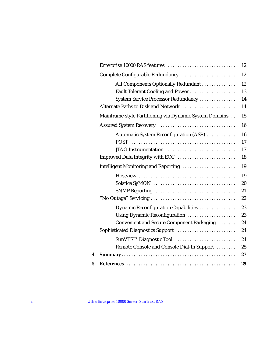|    | Enterprise 10000 RAS features                           | 12 |
|----|---------------------------------------------------------|----|
|    | Complete Configurable Redundancy                        | 12 |
|    | All Components Optionally Redundant                     | 12 |
|    | Fault Tolerant Cooling and Power                        | 13 |
|    | System Service Processor Redundancy                     | 14 |
|    | Alternate Paths to Disk and Network                     | 14 |
|    | Mainframe-style Partitioning via Dynamic System Domains | 15 |
|    |                                                         | 16 |
|    | Automatic System Reconfiguration (ASR)                  | 16 |
|    |                                                         | 17 |
|    | JTAG Instrumentation                                    | 17 |
|    | Improved Data Integrity with ECC                        | 18 |
|    | Intelligent Monitoring and Reporting                    | 19 |
|    |                                                         | 19 |
|    |                                                         | 20 |
|    | SNMP Reporting                                          | 21 |
|    |                                                         | 22 |
|    | Dynamic Reconfiguration Capabilities                    | 23 |
|    | Using Dynamic Reconfiguration                           | 23 |
|    | Convenient and Secure Component Packaging               | 24 |
|    | Sophisticated Diagnostics Support                       | 24 |
|    | SunVTS™ Diagnostic Tool                                 | 24 |
|    | Remote Console and Console Dial-In Support              | 25 |
| 4. |                                                         | 27 |
| 5. |                                                         | 29 |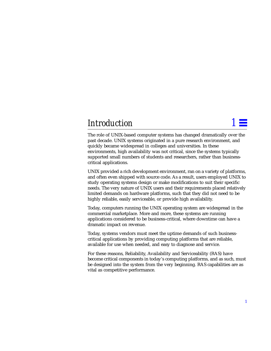### *Introduction 1*

The role of UNIX-based computer systems has changed dramatically over the past decade. UNIX systems originated in a pure research environment, and quickly became widespread in colleges and universities. In these environments, high availability was not critical, since the systems typically supported small numbers of students and researchers, rather than businesscritical applications.

UNIX provided a rich development environment, ran on a variety of platforms, and often even shipped with source code. As a result, users employed UNIX to study operating systems design or make modifications to suit their specific needs. The very nature of UNIX users and their requirements placed relatively limited demands on hardware platforms, such that they did not need to be highly reliable, easily serviceable, or provide high availability.

Today, computers running the UNIX operating system are widespread in the commercial marketplace. More and more, these systems are running applications considered to be business-critical, where downtime can have a dramatic impact on revenue.

Today, systems vendors must meet the uptime demands of such businesscritical applications by providing computing platforms that are reliable, available for use when needed, and easy to diagnose and service.

For these reasons, Reliability, Availability and Serviceability (RAS) have become critical components in today's computing platforms, and as such, must be designed into the system from the very beginning. RAS capabilities are as vital as competitive performance.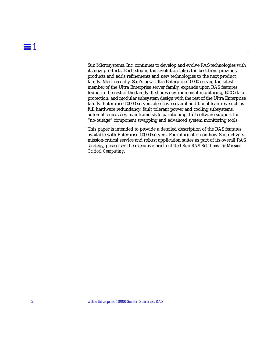Sun Microsystems, Inc. continues to develop and evolve RAS technologies with its new products. Each step in this evolution takes the best from previous products and adds refinements and new technologies to the next product family. Most recently, Sun's new Ultra Enterprise 10000 server, the latest member of the Ultra Enterprise server family, expands upon RAS features found in the rest of the family. It shares environmental monitoring, ECC data protection, and modular subsystem design with the rest of the Ultra Enterprise family. Enterprise 10000 servers also have several additional features, such as full hardware redundancy, fault tolerant power and cooling subsystems, automatic recovery, mainframe-style partitioning, full software support for "no-outage" component swapping and advanced system monitoring tools.

This paper is intended to provide a detailed description of the RAS features available with Enterprise 10000 servers. For information on how Sun delivers mission-critical service and robust application suites as part of its overall RAS strategy, please see the executive brief entitled *Sun RAS Solutions for Mission-Critical Computing*.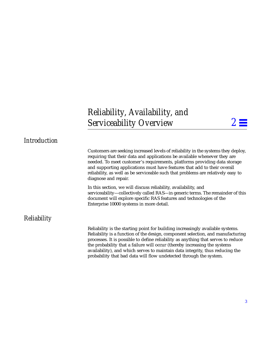## *Reliability, Availability, and Serviceability Overview 2*

### *Introduction*

Customers are seeking increased levels of reliability in the systems they deploy, requiring that their data and applications be available whenever they are needed. To meet customer's requirements, platforms providing data storage and supporting applications must have features that add to their overall reliability, as well as be serviceable such that problems are relatively easy to diagnose and repair.

In this section, we will discuss reliability, availability, and serviceability—collectively called RAS—in generic terms. The remainder of this document will explore specific RAS features and technologies of the Enterprise 10000 systems in more detail.

### *Reliability*

Reliability is the starting point for building increasingly available systems. Reliability is a function of the design, component selection, and manufacturing processes. It is possible to define reliability as anything that serves to reduce the probability that a failure will occur (thereby increasing the systems availability), and which serves to maintain data integrity, thus reducing the probability that bad data will flow undetected through the system.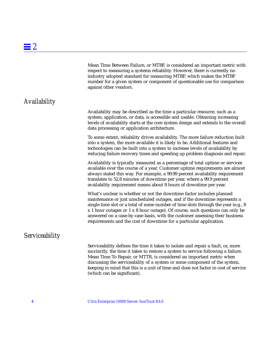Mean Time Between Failure, or MTBF, is considered an important metric with respect to measuring a systems reliability. However, there is currently no industry adopted standard for measuring MTBF, which makes the MTBF number for a given system or component of questionable use for comparison against other vendors. *Availability* Availability may be described as the time a particular resource, such as a system, application, or data, is accessible and usable. Obtaining increasing levels of availability starts at the core system design and extends to the overall data processing or application architecture. To some extent, reliability drives availability. The more failure reduction built into a system, the more available it is likely to be. Additional features and technologies can be built into a system to increase levels of availability by reducing failure recovery times and speeding up problem diagnosis and repair. Availability is typically measured as a percentage of total uptime or services available over the course of a year. Customer uptime requirements are almost always stated this way. For example, a 99.99 percent availability requirement translates to 52.8 minutes of downtime per year, where a 99.9 percent availability requirement means about 8 hours of downtime per year. What's unclear is whether or not the downtime factor includes planned maintenance or just unscheduled outages, and if the downtime represents a single time slot or a total of some number of time slots through the year (e.g., 8 x 1 hour outages or 1 x 8 hour outage). Of course, such questions can only be answered on a case-by-case basis, with the customer assessing their business requirements and the cost of downtime for a particular application. *Serviceability* Serviceability defines the time it takes to isolate and repair a fault, or, more succinctly, the time it takes to restore a system to service following a failure. Mean Time To Repair, or MTTR, is considered an important metric when discussing the serviceability of a system or some component of the system, keeping in mind that this is a unit of time and does not factor in cost of service (which can be significant).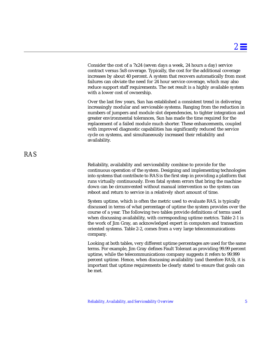Consider the cost of a 7x24 (seven days a week, 24 hours a day) service contract versus 5x8 coverage. Typically, the cost for the additional coverage increases by about 40 percent. A system that recovers automatically from most failures can obviate the need for 24 hour service coverage, which may also reduce support staff requirements. The net result is a highly available system with a lower cost of ownership.

Over the last few years, Sun has established a consistent trend in delivering increasingly modular and serviceable systems. Ranging from the reduction in numbers of jumpers and module slot dependencies, to tighter integration and greater environmental tolerances, Sun has made the time required for the replacement of a failed module much shorter. These enhancements, coupled with improved diagnostic capabilities has significantly reduced the service cycle on systems, and simultaneously increased their reliability and availability.

Reliability, availability and serviceability combine to provide for the continuous operation of the system. Designing and implementing technologies into systems that contribute to RAS is the first step in providing a platform that runs virtually continuously. Even fatal system errors that bring the machine down can be circumvented without manual intervention so the system can reboot and return to service in a relatively short amount of time.

System uptime, which is often the metric used to evaluate RAS, is typically discussed in terms of what percentage of uptime the system provides over the course of a year. The following two tables provide definitions of terms used when discussing availability, with corresponding uptime metrics. Table 2-1 is the work of Jim Gray, an acknowledged expert in computers and transaction oriented systems. Table 2-2, comes from a very large telecommunications company.

Looking at both tables, very different uptime percentages are used for the same terms. For example, Jim Gray defines Fault Tolerant as providing 99.99 percent uptime, while the telecommunications company suggests it refers to 99.999 percent uptime. Hence, when discussing availability (and therefore RAS), it is important that uptime requirements be clearly stated to ensure that goals can be met.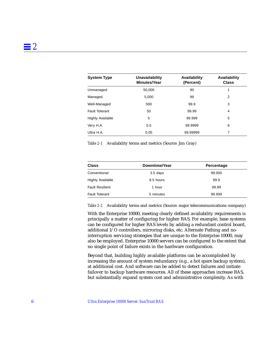| <b>System Type</b>      | Unavailability<br><b>Minutes/Year</b> | <b>Availability</b><br>(Percent) | Availability<br><b>Class</b> |
|-------------------------|---------------------------------------|----------------------------------|------------------------------|
| Unmanaged               | 50.000                                | 90                               | 1                            |
| Managed                 | 5.000                                 | 99                               | 2                            |
| Well-Managed            | 500                                   | 99.9                             | 3                            |
| <b>Fault Tolerant</b>   | 50                                    | 99.99                            | 4                            |
| <b>Highly Available</b> | 5                                     | 99.999                           | 5                            |
| Very H.A.               | 0.5                                   | 99.9999                          | 6                            |
| Ultra H.A.              | 0.05                                  | 99.99999                         | 7                            |

*Table 2-1* Availability terms and metrics (Source: Jim Gray)

| <b>Class</b>            | Downtime/Year | Percentage |
|-------------------------|---------------|------------|
| Conventional            | $3.5$ days    | 99.000     |
| <b>Highly Available</b> | 8.5 hours     | 99.9       |
| <b>Fault Resilient</b>  | 1 hour        | 99.99      |
| <b>Fault Tolerant</b>   | 5 minutes     | 99.999     |

*Table 2-2* Availability terms and metrics (Source: major telecommunications company)

With the Enterprise 10000, meeting clearly defined availability requirements is principally a matter of configuring for higher RAS. For example, base systems can be configured for higher RAS levels by adding a redundant control board, additional I/O controllers, mirroring disks, etc. Alternate Pathing and nointerruption servicing strategies that are unique to the Enterprise 10000, may also be employed. Enterprise 10000 servers can be configured to the extent that no single point of failure exists in the hardware configuration.

Beyond that, building highly available platforms can be accomplished by increasing the amount of system redundancy (e.g., a hot spare backup system), at additional cost. And software can be added to detect failures and initiate failover to backup hardware resources. All of these approaches increase RAS, but substantially expand system cost and administrative complexity. As with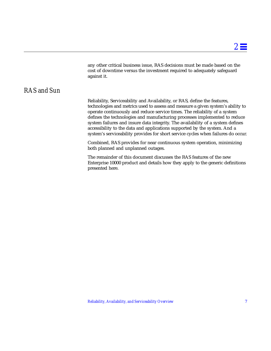any other critical business issue, RAS decisions must be made based on the cost of downtime versus the investment required to adequately safeguard against it.

#### *RAS and Sun*

Reliability, Serviceability and Availability, or RAS, define the features, technologies and metrics used to assess and measure a given system's ability to operate continuously and reduce service times. The reliability of a system defines the technologies and manufacturing processes implemented to reduce system failures and insure data integrity. The availability of a system defines accessibility to the data and applications supported by the system. And a system's serviceability provides for short service cycles when failures do occur.

Combined, RAS provides for near continuous system operation, minimizing both planned and unplanned outages.

The remainder of this document discusses the RAS features of the new Enterprise 10000 product and details how they apply to the generic definitions presented here.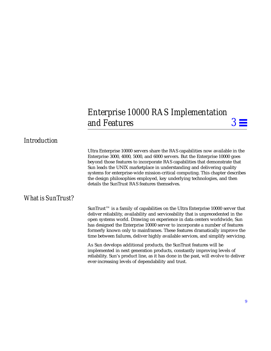# *Enterprise 10000 RAS Implementation and Features 3*

#### *Introduction*

Ultra Enterprise 10000 servers share the RAS capabilities now available in the Enterprise 3000, 4000, 5000, and 6000 servers. But the Enterprise 10000 goes beyond those features to incorporate RAS capabilities that demonstrate that Sun leads the UNIX marketplace in understanding and delivering quality systems for enterprise-wide mission-critical computing. This chapter describes the design philosophies employed, key underlying technologies, and then details the SunTrust RAS features themselves.

#### *What is SunTrust?*

SunTrust™ is a family of capabilities on the Ultra Enterprise 10000 server that deliver reliability, availability and serviceability that is unprecedented in the open systems world. Drawing on experience in data centers worldwide, Sun has designed the Enterprise 10000 server to incorporate a number of features formerly known only to mainframes. These features dramatically improve the time between failures, deliver highly available services, and simplify servicing.

As Sun develops additional products, the SunTrust features will be implemented in next generation products, constantly improving levels of reliability. Sun's product line, as it has done in the past, will evolve to deliver ever-increasing levels of dependability and trust.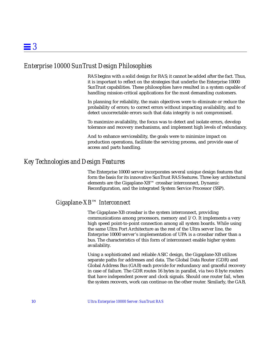#### *Enterprise 10000 SunTrust Design Philosophies*

RAS begins with a solid design for RAS; it cannot be added after the fact. Thus, it is important to reflect on the strategies that underlie the Enterprise 10000 SunTrust capabilities. These philosophies have resulted in a system capable of handling mission-critical applications for the most demanding customers.

In planning for reliability, the main objectives were to eliminate or reduce the probability of errors; to correct errors without impacting availability, and to detect uncorrectable errors such that data integrity is not compromised.

To maximize availability, the focus was to detect and isolate errors, develop tolerance and recovery mechanisms, and implement high levels of redundancy.

And to enhance serviceability, the goals were to minimize impact on production operations, facilitate the servicing process, and provide ease of access and parts handling.

#### *Key Technologies and Design Features*

The Enterprise 10000 server incorporates several unique design features that form the basis for its innovative SunTrust RAS features. Three key architectural elements are the Gigaplane-XB™ crossbar interconnect, Dynamic Reconfiguration, and the integrated System Service Processor (SSP).

#### *Gigaplane-XB™ Interconnect*

The Gigaplane-XB crossbar is the system interconnect, providing communications among processors, memory and I/O. It implements a very high speed point-to-point connection among all system boards. While using the same Ultra Port Architecture as the rest of the Ultra server line, the Enterprise 10000 server's implementation of UPA is a crossbar rather than a bus. The characteristics of this form of interconnect enable higher system availability.

Using a sophisticated and reliable ASIC design, the Gigaplane-XB utilizes separate paths for addresses and data. The Global Data Router (GDR) and Global Address Bus (GAB) each provide for redundancy and graceful recovery in case of failure. The GDR routes 16 bytes in parallel, via two 8 byte routers that have independent power and clock signals. Should one router fail, when the system recovers, work can continue on the other router. Similarly, the GAB,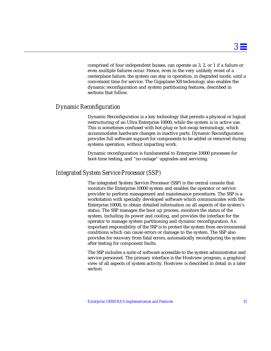comprised of four independent busses, can operate as 3, 2, or 1 if a failure or even multiple failures occur. Hence, even in the very unlikely event of a centerplane failure, the system can stay in operation, in degraded mode, until a convenient time for service. The Gigaplane-XB technology also enables the dynamic reconfiguration and system partitioning features, described in sections that follow.

#### *Dynamic Reconfiguration*

Dynamic Reconfiguration is a key technology that permits a physical or logical restructuring of an Ultra Enterprise 10000, while the system is in active use. This is sometimes confused with hot-plug or hot-swap terminology, which accommodates hardware changes in inactive parts. Dynamic Reconfiguration provides full software support for components to be added or removed during systems operation, without impacting work.

Dynamic reconfiguration is fundamental to Enterprise 10000 processes for boot-time testing, and "no-outage" upgrades and servicing.

#### *Integrated System Service Processor (SSP)*

The integrated System Service Processor (SSP) is the central console that monitors the Enterprise 10000 system and enables the operator or service provider to perform management and maintenance procedures. The SSP is a workstation with specially developed software which communicates with the Enterprise 10000, to obtain detailed information on all aspects of the system's status. The SSP manages the boot up process, monitors the status of the system, including its power and cooling, and provides the interface for the operator to manage system partitioning and dynamic reconfiguration. An important responsibility of the SSP is to protect the system from environmental conditions which can cause errors or damage to the system. The SSP also provides for recovery from fatal errors, automatically reconfiguring the system after testing for component faults.

The SSP includes a suite of software accessible to the system administrator and service personnel. The primary interface is the Hostview program, a graphical view of all aspects of system activity. Hostview is described in detail in a later section.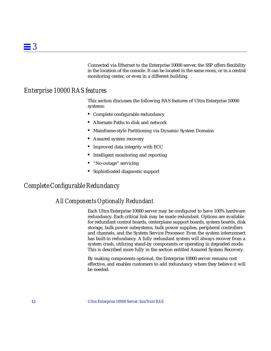Connected via Ethernet to the Enterprise 10000 server, the SSP offers flexibility in the location of the console. It can be located in the same room, or in a central monitoring center, or even in a different building.

#### *Enterprise 10000 RAS features*

This section discusses the following RAS features of Ultra Enterprise 10000 systems:

- **•** Complete configurable redundancy
- **•** Alternate Paths to disk and network
- **•** Mainframe-style Partitioning via Dynamic System Domains
- **•** Assured system recovery
- **•** Improved data integrity with ECC
- **•** Intelligent monitoring and reporting
- **•** "No-outage" servicing
- **•** Sophisticated diagnostic support

### *Complete Configurable Redundancy*

#### *All Components Optionally Redundant*

Each Ultra Enterprise 10000 server may be configured to have 100% hardware redundancy. Each critical link may be made redundant. Options are available for redundant control boards, centerplane support boards, system boards, disk storage, bulk power subsystems, bulk power supplies, peripheral controllers and channels, and the System Service Processor. Even the system interconnect has built-in redundancy. A fully redundant system will always recover from a system crash, utilizing stand-by components or operating in degraded mode. This is described more fully in the section entitled Assured System Recovery.

By making components optional, the Enterprise 10000 server remains cost effective, and enables customers to add redundancy where they believe it will be needed.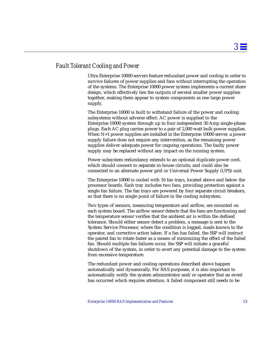#### *Fault Tolerant Cooling and Power*

Ultra Enterprise 10000 servers feature redundant power and cooling in order to survive failures of power supplies and fans without interrupting the operation of the systems. The Enterprise 10000 power system implements a current share design, which effectively ties the outputs of several smaller power supplies together, making them appear to system components as one large power supply.

The Enterprise 10000 is built to withstand failure of the power and cooling subsystems without adverse effect. AC power is supplied to the Enterprise 10000 system through up to four independent 30 Amp single-phase plugs. Each AC plug carries power to a pair of 2,000 watt bulk power supplies. When N+1 power supplies are installed in the Enterprise 10000 server, a power supply failure does not require any intervention, as the remaining power supplies deliver adequate power for ongoing operations. The faulty power supply may be replaced without any impact on the running system.

Power subsystem redundancy extends to an optional duplicate power cord, which should connect to separate in-house circuits, and could also be connected to an alternate power grid or Universal Power Supply (UPS) unit.

The Enterprise 10000 is cooled with 16 fan trays, located above and below the processor boards. Each tray includes two fans, providing protection against a single fan failure. The fan trays are powered by four separate circuit breakers, so that there is no single point of failure in the cooling subsystem.

Two types of sensors, measuring temperature and airflow, are mounted on each system board. The airflow sensor detects that the fans are functioning and the temperature sensor verifies that the ambient air is within the defined tolerance. Should either sensor detect a problem, a message is sent to the System Service Processor, where the condition is logged, made known to the operator, and corrective action taken. If a fan has failed, the SSP will instruct the paired fan to rotate faster as a means of minimizing the effect of the failed fan. Should multiple fan failures occur, the SSP will initiate a graceful shutdown of the system, in order to avert any potential damage to the system from excessive temperature.

The redundant power and cooling operations described above happen automatically and dynamically. For RAS purposes, it is also important to automatically notify the system administrator and/or operator that an event has occurred which requires attention. A failed component still needs to be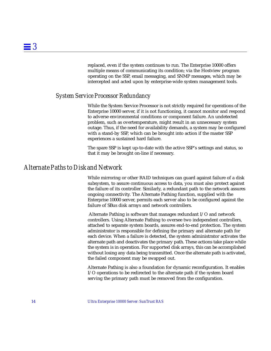replaced, even if the system continues to run. The Enterprise 10000 offers multiple means of communicating its condition; via the Hostview program operating on the SSP, email messaging, and SNMP messages, which may be intercepted and acted upon by enterprise-wide system management tools.

#### *System Service Processor Redundancy*

While the System Service Processor is not strictly required for operations of the Enterprise 10000 server, if it is not functioning, it cannot monitor and respond to adverse environmental conditions or component failure. An undetected problem, such as overtemperature, might result in an unnecessary system outage. Thus, if the need for availability demands, a system may be configured with a stand-by SSP, which can be brought into action if the master SSP experiences a sustained hard failure.

The spare SSP is kept up-to-date with the active SSP's settings and status, so that it may be brought on-line if necessary.

#### *Alternate Paths to Disk and Network*

While mirroring or other RAID techniques can guard against failure of a disk subsystem, to assure continuous access to data, you must also protect against the failure of its controller. Similarly, a redundant path to the network assures ongoing connectivity. The Alternate Pathing function, supplied with the Enterprise 10000 server, permits each server also to be configured against the failure of SBus disk arrays and network controllers.

 Alternate Pathing is software that manages redundant I/O and network controllers. Using Alternate Pathing to oversee two independent controllers, attached to separate system boards, assures end-to-end protection. The system administrator is responsible for defining the primary and alternate path for each device. When a failure is detected, the system administrator activates the alternate path and deactivates the primary path. These actions take place while the system is in operation. For supported disk arrays, this can be accomplished without losing any data being transmitted. Once the alternate path is activated, the failed component may be swapped out.

Alternate Pathing is also a foundation for dynamic reconfiguration. It enables I/O operations to be redirected to the alternate path if the system board serving the primary path must be removed from the configuration.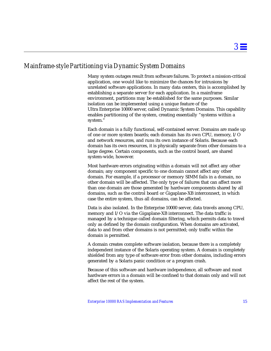#### *Mainframe-style Partitioning via Dynamic System Domains*

Many system outages result from software failures. To protect a mission-critical application, one would like to minimize the chances for intrusions by unrelated software applications. In many data centers, this is accomplished by establishing a separate server for each application. In a mainframe environment, partitions may be established for the same purposes. Similar isolation can be implemented using a unique feature of the Ultra Enterprise 10000 server, called Dynamic System Domains. This capability enables partitioning of the system, creating essentially "systems within a system."

Each domain is a fully functional, self-contained server. Domains are made up of one or more system boards; each domain has its own CPU, memory, I/O and network resources, and runs its own instance of Solaris. Because each domain has its own resources, it is physically separate from other domains to a large degree. Certain components, such as the control board, are shared system-wide, however.

Most hardware errors originating within a domain will not affect any other domain; any component specific to one domain cannot affect any other domain. For example, if a processor or memory SIMM fails in a domain, no other domain will be affected. The only type of failures that can affect more than one domain are those generated by hardware components shared by all domains, such as the control board or Gigaplane-XB interconnect, in which case the entire system, thus all domains, can be affected.

Data is also isolated. In the Enterprise 10000 server, data travels among CPU, memory and I/O via the Gigaplane-XB interconnect. The data traffic is managed by a technique called domain filtering, which permits data to travel only as defined by the domain configuration. When domains are activated, data to and from other domains is not permitted; only traffic within the domain is permitted.

A domain creates complete software isolation, because there is a completely independent instance of the Solaris operating system. A domain is completely shielded from any type of software error from other domains, including errors generated by a Solaris panic condition or a program crash.

Because of this software and hardware independence, all software and most hardware errors in a domain will be confined to that domain only and will not affect the rest of the system.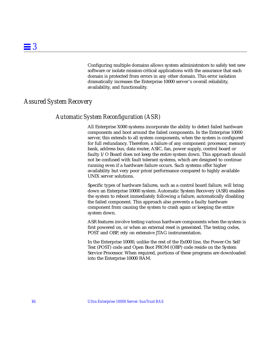Configuring multiple domains allows system administrators to safely test new software or isolate mission-critical applications with the assurance that each domain is protected from errors in any other domain. This error isolation dramatically increases the Enterprise 10000 server's overall reliability, availability, and functionality.

### *Assured System Recovery*

#### *Automatic System Reconfiguration (ASR)*

All Enterprise X000 systems incorporate the ability to detect failed hardware components and boot around the failed components. In the Enterprise 10000 server, this extends to all system components, when the system is configured for full redundancy. Therefore, a failure of any component: processor, memory bank, address bus, data router, ASIC, fan, power supply, control board or faulty I/O Board does not keep the entire system down. This approach should not be confused with fault tolerant systems, which are designed to continue running even if a hardware failure occurs. Such systems offer higher availability but very poor price/performance compared to highly available UNIX server solutions.

Specific types of hardware failures, such as a control board failure, will bring down an Enterprise 10000 system. Automatic System Recovery (ASR) enables the system to reboot immediately following a failure, automatically disabling the failed component. This approach also prevents a faulty hardware component from causing the system to crash again or keeping the entire system down.

ASR features involve testing various hardware components when the system is first powered on, or when an external reset is generated. The testing codes, POST and OBP, rely on extensive JTAG instrumentation.

In the Enterprise 10000, unlike the rest of the Ex000 line, the Power-On Self Test (POST) code and Open Boot PROM (OBP) code reside on the System Service Processor. When required, portions of these programs are downloaded into the Enterprise 10000 RAM.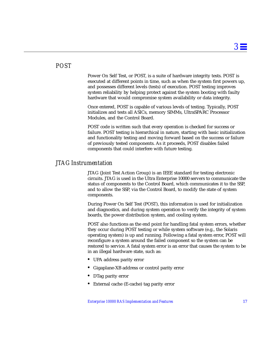#### *POST*

Power On Self Test, or POST, is a suite of hardware integrity tests. POST is executed at different points in time, such as when the system first powers up, and possesses different levels (tests) of execution. POST testing improves system reliability by helping protect against the system booting with faulty hardware that would compromise system availability or data integrity.

Once entered, POST is capable of various levels of testing. Typically, POST initializes and tests all ASICs, memory SIMMs, UltraSPARC Processor Modules, and the Control Board.

POST code is written such that every operation is checked for success or failure. POST testing is hierarchical in nature, starting with basic initialization and functionality testing and moving forward based on the success or failure of previously tested components. As it proceeds, POST disables failed components that could interfere with future testing.

#### *JTAG Instrumentation*

JTAG (Joint Test Action Group) is an IEEE standard for testing electronic circuits. JTAG is used in the Ultra Enterprise 10000 servers to communicate the status of components to the Control Board, which communicates it to the SSP, and to allow the SSP, via the Control Board, to modify the state of system components.

During Power On Self Test (POST), this information is used for initialization and diagnostics, and during system operation to verify the integrity of system boards, the power distribution system, and cooling system.

POST also functions as the end point for handling fatal system errors, whether they occur during POST testing or while system software (e.g., the Solaris operating system) is up and running. Following a fatal system error, POST will reconfigure a system around the failed component so the system can be restored to service. A fatal system error is an error that causes the system to be in an illegal hardware state, such as:

- **•** UPA address parity error
- **•** Gigaplane-XB address or control parity error
- **•** DTag parity error
- **•** External cache (E-cache) tag parity error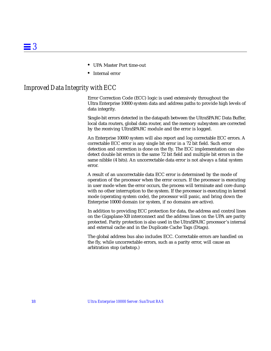- **•** UPA Master Port time-out
- **•** Internal error

#### *Improved Data Integrity with ECC*

Error Correction Code (ECC) logic is used extensively throughout the Ultra Enterprise 10000 system data and address paths to provide high levels of data integrity.

Single-bit errors detected in the datapath between the UltraSPARC Data Buffer, local data routers, global data router, and the memory subsystem are corrected by the receiving UltraSPARC module and the error is logged.

An Enterprise 10000 system will also report and log correctable ECC errors. A correctable ECC error is any single bit error in a 72 bit field. Such error detection and correction is done on the fly. The ECC implementation can also detect double bit errors in the same 72 bit field and multiple bit errors in the same nibble (4 bits). An uncorrectable data error is not always a fatal system error.

A result of an uncorrectable data ECC error is determined by the mode of operation of the processor when the error occurs. If the processor is executing in user mode when the error occurs, the process will terminate and core dump with no other interruption to the system. If the processor is executing in kernel mode (operating system code), the processor will panic, and bring down the Enterprise 10000 domain (or system, if no domains are active).

In addition to providing ECC protection for data, the address and control lines on the Gigaplane-XB interconnect and the address lines on the UPA are parity protected. Parity protection is also used in the UltraSPARC processor's internal and external cache and in the Duplicate Cache Tags (Dtags).

The global address bus also includes ECC. Correctable errors are handled on the fly, while uncorrectable errors, such as a parity error, will cause an arbitration stop (arbstop.)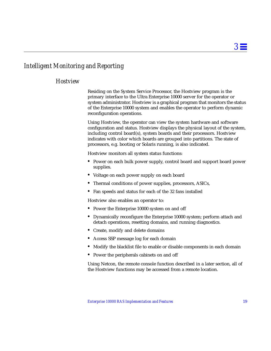### *Intelligent Monitoring and Reporting*

#### *Hostview*

Residing on the System Service Processor, the Hostview program is the primary interface to the Ultra Enterprise 10000 server for the operator or system administrator. Hostview is a graphical program that monitors the status of the Enterprise 10000 system and enables the operator to perform dynamic reconfiguration operations.

Using Hostview, the operator can view the system hardware and software configuration and status. Hostview displays the physical layout of the system, including control board(s), system boards and their processors. Hostview indicates with color which boards are grouped into partitions. The state of processors, e.g. booting or Solaris running, is also indicated.

Hostview monitors all system status functions:

- **•** Power on each bulk power supply, control board and support board power supplies.
- **•** Voltage on each power supply on each board
- **•** Thermal conditions of power supplies, processors, ASICs,
- **•** Fan speeds and status for each of the 32 fans installed

Hostview also enables an operator to:

- **•** Power the Enterprise 10000 system on and off
- **•** Dynamically reconfigure the Enterprise 10000 system; perform attach and detach operations, resetting domains, and running diagnostics.
- **•** Create, modify and delete domains
- **•** Access SSP message log for each domain
- **•** Modify the blacklist file to enable or disable components in each domain
- **•** Power the peripherals cabinets on and off

Using Netcon, the remote console function described in a later section, all of the Hostview functions may be accessed from a remote location.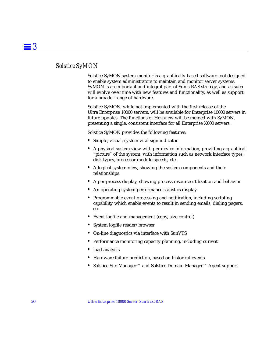#### *Solstice SyMON*

Solstice SyMON system monitor is a graphically based software tool designed to enable system administrators to maintain and monitor server systems. SyMON is an important and integral part of Sun's RAS strategy, and as such will evolve over time with new features and functionality, as well as support for a broader range of hardware.

Solstice SyMON, while not implemented with the first release of the Ultra Enterprise 10000 servers, will be available for Enterprise 10000 servers in future updates. The functions of Hostview will be merged with SyMON, presenting a single, consistent interface for all Enterprise X000 servers.

Solstice SyMON provides the following features:

- **•** Simple, visual, system vital sign indicator
- **•** A physical system view with per-device information, providing a graphical "picture" of the system, with information such as network interface types, disk types, processor module speeds, etc.
- **•** A logical system view, showing the system components and their relationships
- **•** A per-process display, showing process resource utilization and behavior
- **•** An operating system performance statistics display
- **•** Programmable event processing and notification, including scripting capability which enable events to result in sending emails, dialing pagers, etc.
- **•** Event logfile and management (copy, size control)
- **•** System logfile reader/browser
- **•** On-line diagnostics via interface with SunVTS
- **•** Performance monitoring capacity planning, including current
- **•** load analysis
- **•** Hardware failure prediction, based on historical events
- **•** Solstice Site Manager™ and Solstice Domain Manager™ Agent support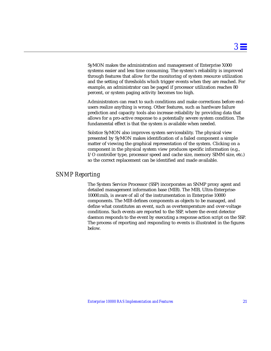SyMON makes the administration and management of Enterprise X000 systems easier and less time consuming. The system's reliability is improved through features that allow for the monitoring of system resource utilization and the setting of thresholds which trigger events when they are reached. For example, an administrator can be paged if processor utilization reaches 80 percent, or system paging activity becomes too high.

Administrators can react to such conditions and make corrections before endusers realize anything is wrong. Other features, such as hardware failure prediction and capacity tools also increase reliability by providing data that allows for a pro-active response to a potentially severe system condition. The fundamental effect is that the system is available when needed.

Solstice SyMON also improves system serviceability. The physical view presented by SyMON makes identification of a failed component a simple matter of viewing the graphical representation of the system. Clicking on a component in the physical system view produces specific information (e.g., I/O controller type, processor speed and cache size, memory SIMM size, etc.) so the correct replacement can be identified and made available.

#### *SNMP Reporting*

The System Service Processor (SSP) incorporates an SNMP proxy agent and detailed management information base (MIB). The MIB, Ultra-Enterprise-10000.mib, is aware of all of the instrumentation in Enterprise 10000 components. The MIB defines components as objects to be managed, and define what constitutes an event, such as overtemperature and over-voltage conditions. Such events are reported to the SSP, where the event detector daemon responds to the event by executing a response action script on the SSP. The process of reporting and responding to events is illustrated in the figures below.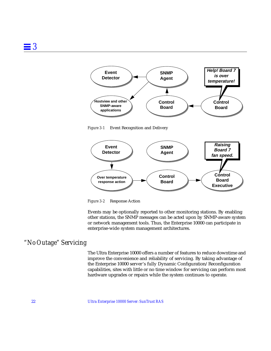

*Figure 3-1* Event Recognition and Delivery



*Figure 3-2* Response Action

Events may be optionally reported to other monitoring stations. By enabling other stations, the SNMP messages can be acted upon by SNMP-aware system or network management tools. Thus, the Enterprise 10000 can participate in enterprise-wide system management architectures.

#### *"No Outage" Servicing*

The Ultra Enterprise 10000 offers a number of features to reduce downtime and improve the convenience and reliability of servicing. By taking advantage of the Enterprise 10000 server's fully Dynamic Configuration/Reconfiguration capabilities, sites with little or no time window for servicing can perform most hardware upgrades or repairs while the system continues to operate.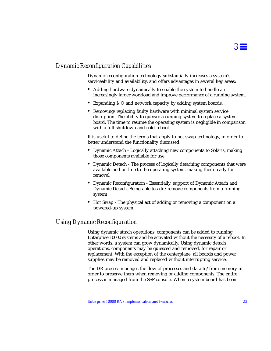#### *Dynamic Reconfiguration Capabilities*

Dynamic reconfiguration technology substantially increases a system's serviceability and availability, and offers advantages in several key areas:

- **•** Adding hardware dynamically to enable the system to handle an increasingly larger workload and improve performance of a running system.
- **•** Expanding I/O and network capacity by adding system boards.
- **•** Removing/replacing faulty hardware with minimal system service disruption. The ability to queisce a running system to replace a system board. The time to resume the operating system is negligible in comparison with a full shutdown and cold reboot.

It is useful to define the terms that apply to hot swap technology, in order to better understand the functionality discussed.

- **•** Dynamic Attach Logically attaching new components to Solaris, making those components available for use
- **•** Dynamic Detach The process of logically detaching components that were available and on-line to the operating system, making them ready for removal
- **•** Dynamic Reconfiguration Essentially, support of Dynamic Attach and Dynamic Detach. Being able to add/remove components from a running system
- **•** Hot Swap The physical act of adding or removing a component on a powered-up system.

#### *Using Dynamic Reconfiguration*

Using dynamic attach operations, components can be added to running Enterprise 10000 systems and be activated without the necessity of a reboot. In other words, a system can grow dynamically. Using dynamic detach operations, components may be quiesced and removed, for repair or replacement. With the exception of the centerplane, all boards and power supplies may be removed and replaced without interrupting service.

The DR process manages the flow of processes and data to/from memory in order to preserve them when removing or adding components. The entire process is managed from the SSP console. When a system board has been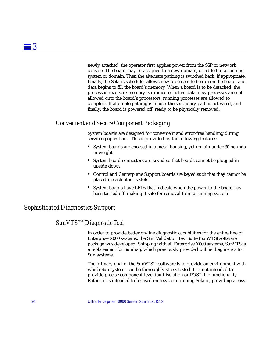newly attached, the operator first applies power from the SSP or network console. The board may be assigned to a new domain, or added to a running system or domain. Then the alternate pathing is switched back, if appropriate. Finally, the Solaris scheduler allows new processes to be run on the board, and data begins to fill the board's memory. When a board is to be detached, the process is reversed; memory is drained of active data, new processes are not allowed onto the board's processors, running processes are allowed to complete. If alternate pathing is in use, the secondary path is activated, and finally, the board is powered off, ready to be physically removed.

#### *Convenient and Secure Component Packaging*

System boards are designed for convenient and error-free handling during servicing operations. This is provided by the following features:

- **•** System boards are encased in a metal housing, yet remain under 30 pounds in weight
- **•** System board connectors are keyed so that boards cannot be plugged in upside down
- **•** Control and Centerplane Support boards are keyed such that they cannot be placed in each other's slots
- **•** System boards have LEDs that indicate when the power to the board has been turned off, making it safe for removal from a running system

#### *Sophisticated Diagnostics Support*

#### *SunVTS*™ *Diagnostic Tool*

In order to provide better on-line diagnostic capabilities for the entire line of Enterprise X000 systems, the Sun Validation Test Suite (SunVTS) software package was developed. Shipping with all Enterprise X000 systems, SunVTS is a replacement for Sundiag, which previously provided online diagnostics for Sun systems.

The primary goal of the SunVTS<sup> $M$ </sup> software is to provide an environment with which Sun systems can be thoroughly stress tested. It is not intended to provide precise component-level fault isolation or POST-like functionality. Rather, it is intended to be used on a system running Solaris, providing a easy-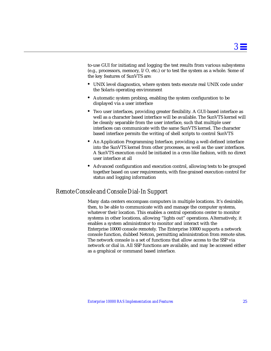to-use GUI for initiating and logging the test results from various subsystems (e.g., processors, memory, I/O, etc.) or to test the system as a whole. Some of the key features of SunVTS are:

- **•** UNIX level diagnostics, where system tests execute real UNIX code under the Solaris operating environment
- **•** Automatic system probing, enabling the system configuration to be displayed via a user interface
- **•** Two user interfaces, providing greater flexibility. A GUI-based interface as well as a character based interface will be available. The SunVTS kernel will be cleanly separable from the user interface, such that multiple user interfaces can communicate with the same SunVTS kernel. The character based interface permits the writing of shell scripts to control SunVTS
- **•** An Application Programming Interface, providing a well-defined interface into the SunVTS kernel from other processes, as well as the user interfaces. A SunVTS execution could be initiated in a cron-like fashion, with no direct user interface at all
- **•** Advanced configuration and execution control, allowing tests to be grouped together based on user requirements, with fine grained execution control for status and logging information

#### *Remote Console and Console Dial-In Support*

Many data centers encompass computers in multiple locations. It's desirable, then, to be able to communicate with and manage the computer systems, whatever their location. This enables a central operations center to monitor systems in other locations, allowing "lights out" operations. Alternatively, it enables a system administrator to monitor and interact with the Enterprise 10000 console remotely. The Enterprise 10000 supports a network console function, dubbed Netcon, permitting administration from remote sites. The network console is a set of functions that allow access to the SSP via network or dial in. All SSP functions are available, and may be accessed either as a graphical or command based interface.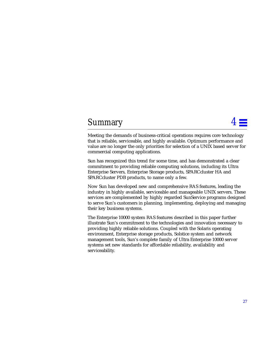### *Summary 4*

Meeting the demands of business-critical operations requires core technology that is reliable, serviceable, and highly available. Optimum performance and value are no longer the only priorities for selection of a UNIX based server for commercial computing applications.

Sun has recognized this trend for some time, and has demonstrated a clear commitment to providing reliable computing solutions, including its Ultra Enterprise Servers, Enterprise Storage products, SPARCcluster HA and SPARCcluster PDB products, to name only a few.

Now Sun has developed new and comprehensive RAS features, leading the industry in highly available, serviceable and manageable UNIX servers. These services are complemented by highly regarded SunService programs designed to serve Sun's customers in planning, implementing, deploying and managing their key business systems.

The Enterprise 10000 system RAS features described in this paper further illustrate Sun's commitment to the technologies and innovation necessary to providing highly reliable solutions. Coupled with the Solaris operating environment, Enterprise storage products, Solstice system and network management tools, Sun's complete family of Ultra Enterprise 10000 server systems set new standards for affordable reliability, availability and serviceability.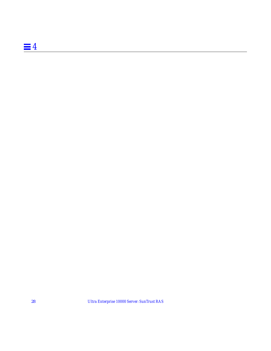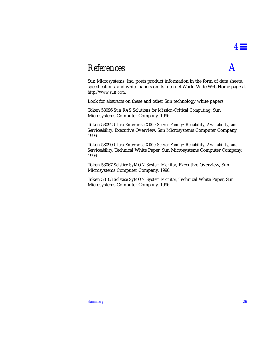### *4*

### $References$

Sun Microsystems, Inc. posts product information in the form of data sheets, specifications, and white papers on its Internet World Wide Web Home page at *http://www.sun.com*.

Look for abstracts on these and other Sun technology white papers:

Token 53096 *Sun RAS Solutions for Mission-Critical Computing*, Sun Microsystems Computer Company, 1996.

Token 53092 *Ultra Enterprise X000 Server Family: Reliability, Availability, and Serviceability*, Executive Overview, Sun Microsystems Computer Company, 1996.

Token 53090 *Ultra Enterprise X000 Server Family: Reliability, Availability, and Serviceability*, Technical White Paper, Sun Microsystems Computer Company, 1996.

Token 53067 *Solstice SyMON System Monitor*, Executive Overview, Sun Microsystems Computer Company, 1996.

Token 53103 *Solstice SyMON System Monitor*, Technical White Paper, Sun Microsystems Computer Company, 1996.